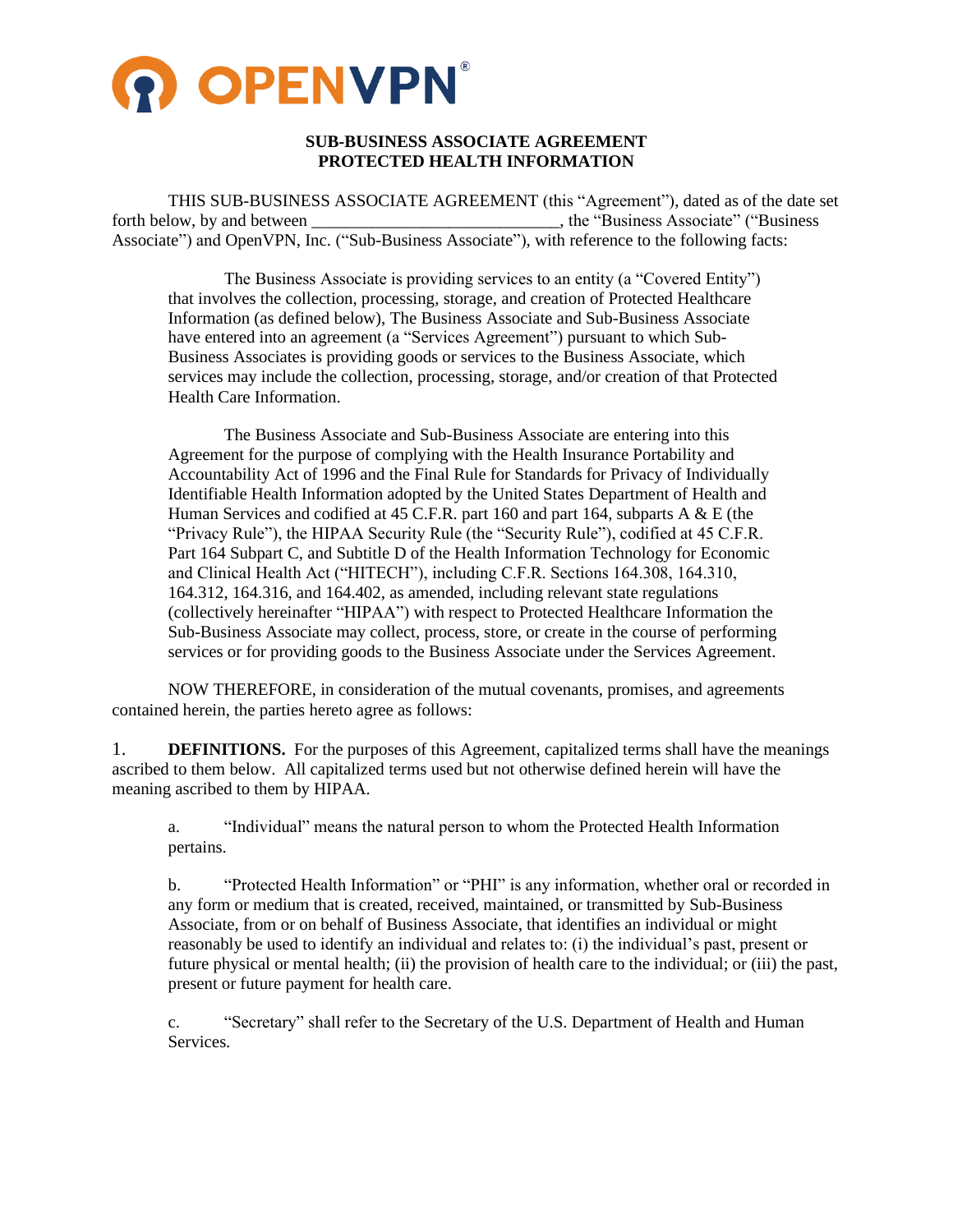

# **SUB-BUSINESS ASSOCIATE AGREEMENT PROTECTED HEALTH INFORMATION**

THIS SUB-BUSINESS ASSOCIATE AGREEMENT (this "Agreement"), dated as of the date set forth below, by and between \_\_\_\_\_\_\_\_\_\_\_\_\_\_\_\_\_\_\_\_\_\_\_\_\_\_\_\_\_\_\_, the "Business Associate" ("Business" Associate") and OpenVPN, Inc. ("Sub-Business Associate"), with reference to the following facts:

The Business Associate is providing services to an entity (a "Covered Entity") that involves the collection, processing, storage, and creation of Protected Healthcare Information (as defined below), The Business Associate and Sub-Business Associate have entered into an agreement (a "Services Agreement") pursuant to which Sub-Business Associates is providing goods or services to the Business Associate, which services may include the collection, processing, storage, and/or creation of that Protected Health Care Information.

The Business Associate and Sub-Business Associate are entering into this Agreement for the purpose of complying with the Health Insurance Portability and Accountability Act of 1996 and the Final Rule for Standards for Privacy of Individually Identifiable Health Information adopted by the United States Department of Health and Human Services and codified at 45 C.F.R. part 160 and part 164, subparts A & E (the "Privacy Rule"), the HIPAA Security Rule (the "Security Rule"), codified at 45 C.F.R. Part 164 Subpart C, and Subtitle D of the Health Information Technology for Economic and Clinical Health Act ("HITECH"), including C.F.R. Sections 164.308, 164.310, 164.312, 164.316, and 164.402, as amended, including relevant state regulations (collectively hereinafter "HIPAA") with respect to Protected Healthcare Information the Sub-Business Associate may collect, process, store, or create in the course of performing services or for providing goods to the Business Associate under the Services Agreement.

NOW THEREFORE, in consideration of the mutual covenants, promises, and agreements contained herein, the parties hereto agree as follows:

1. **DEFINITIONS.** For the purposes of this Agreement, capitalized terms shall have the meanings ascribed to them below. All capitalized terms used but not otherwise defined herein will have the meaning ascribed to them by HIPAA.

a. "Individual" means the natural person to whom the Protected Health Information pertains.

b. "Protected Health Information" or "PHI" is any information, whether oral or recorded in any form or medium that is created, received, maintained, or transmitted by Sub-Business Associate, from or on behalf of Business Associate, that identifies an individual or might reasonably be used to identify an individual and relates to: (i) the individual's past, present or future physical or mental health; (ii) the provision of health care to the individual; or (iii) the past, present or future payment for health care.

c. "Secretary" shall refer to the Secretary of the U.S. Department of Health and Human Services.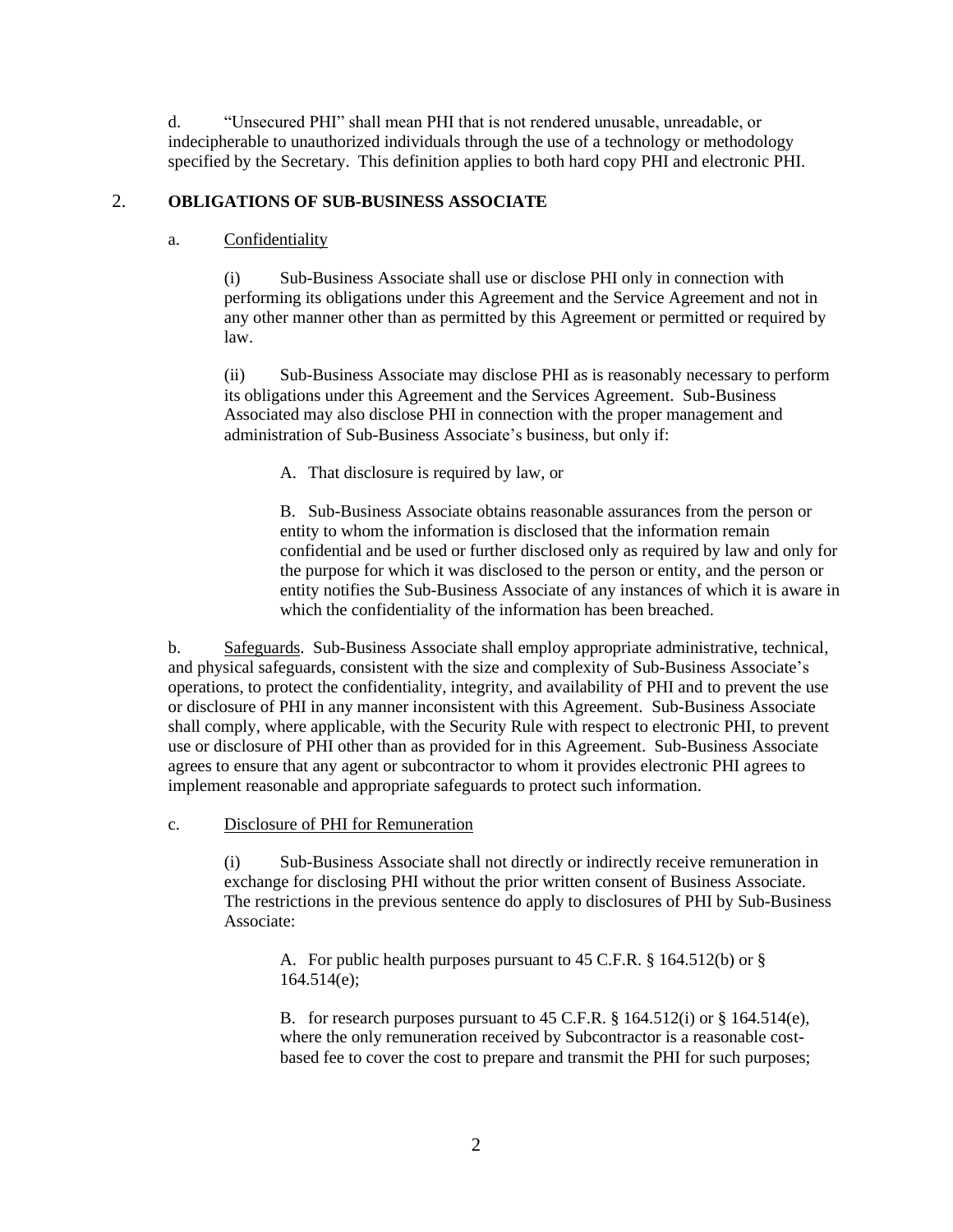d. "Unsecured PHI" shall mean PHI that is not rendered unusable, unreadable, or indecipherable to unauthorized individuals through the use of a technology or methodology specified by the Secretary. This definition applies to both hard copy PHI and electronic PHI.

## <span id="page-1-0"></span>2. **OBLIGATIONS OF SUB-BUSINESS ASSOCIATE**

## a. Confidentiality

(i) Sub-Business Associate shall use or disclose PHI only in connection with performing its obligations under this Agreement and the Service Agreement and not in any other manner other than as permitted by this Agreement or permitted or required by law.

(ii) Sub-Business Associate may disclose PHI as is reasonably necessary to perform its obligations under this Agreement and the Services Agreement. Sub-Business Associated may also disclose PHI in connection with the proper management and administration of Sub-Business Associate's business, but only if:

A. That disclosure is required by law, or

B. Sub-Business Associate obtains reasonable assurances from the person or entity to whom the information is disclosed that the information remain confidential and be used or further disclosed only as required by law and only for the purpose for which it was disclosed to the person or entity, and the person or entity notifies the Sub-Business Associate of any instances of which it is aware in which the confidentiality of the information has been breached.

b. Safeguards. Sub-Business Associate shall employ appropriate administrative, technical, and physical safeguards, consistent with the size and complexity of Sub-Business Associate's operations, to protect the confidentiality, integrity, and availability of PHI and to prevent the use or disclosure of PHI in any manner inconsistent with this Agreement. Sub-Business Associate shall comply, where applicable, with the Security Rule with respect to electronic PHI, to prevent use or disclosure of PHI other than as provided for in this Agreement. Sub-Business Associate agrees to ensure that any agent or subcontractor to whom it provides electronic PHI agrees to implement reasonable and appropriate safeguards to protect such information.

c. Disclosure of PHI for Remuneration

(i) Sub-Business Associate shall not directly or indirectly receive remuneration in exchange for disclosing PHI without the prior written consent of Business Associate. The restrictions in the previous sentence do apply to disclosures of PHI by Sub-Business Associate:

A. For public health purposes pursuant to 45 C.F.R. § 164.512(b) or § 164.514(e);

B. for research purposes pursuant to 45 C.F.R. § 164.512(i) or § 164.514(e), where the only remuneration received by Subcontractor is a reasonable costbased fee to cover the cost to prepare and transmit the PHI for such purposes;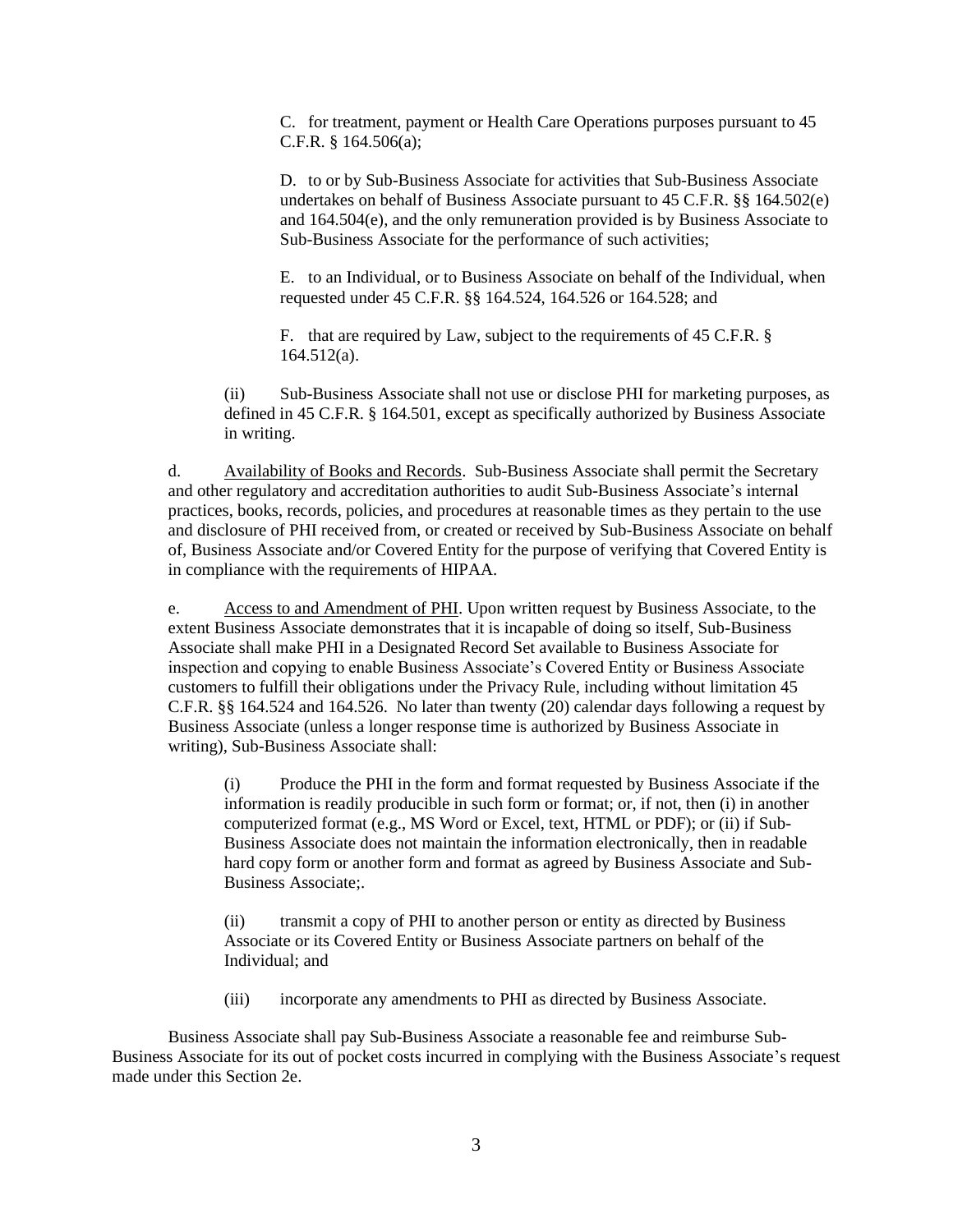C. for treatment, payment or Health Care Operations purposes pursuant to 45 C.F.R. § 164.506(a);

D. to or by Sub-Business Associate for activities that Sub-Business Associate undertakes on behalf of Business Associate pursuant to 45 C.F.R. §§ 164.502(e) and 164.504(e), and the only remuneration provided is by Business Associate to Sub-Business Associate for the performance of such activities;

E. to an Individual, or to Business Associate on behalf of the Individual, when requested under 45 C.F.R. §§ 164.524, 164.526 or 164.528; and

F. that are required by Law, subject to the requirements of 45 C.F.R. § 164.512(a).

(ii) Sub-Business Associate shall not use or disclose PHI for marketing purposes, as defined in 45 C.F.R. § 164.501, except as specifically authorized by Business Associate in writing.

d. Availability of Books and Records. Sub-Business Associate shall permit the Secretary and other regulatory and accreditation authorities to audit Sub-Business Associate's internal practices, books, records, policies, and procedures at reasonable times as they pertain to the use and disclosure of PHI received from, or created or received by Sub-Business Associate on behalf of, Business Associate and/or Covered Entity for the purpose of verifying that Covered Entity is in compliance with the requirements of HIPAA.

<span id="page-2-0"></span>e. Access to and Amendment of PHI. Upon written request by Business Associate, to the extent Business Associate demonstrates that it is incapable of doing so itself, Sub-Business Associate shall make PHI in a Designated Record Set available to Business Associate for inspection and copying to enable Business Associate's Covered Entity or Business Associate customers to fulfill their obligations under the Privacy Rule, including without limitation 45 C.F.R. §§ 164.524 and 164.526. No later than twenty (20) calendar days following a request by Business Associate (unless a longer response time is authorized by Business Associate in writing), Sub-Business Associate shall:

(i) Produce the PHI in the form and format requested by Business Associate if the information is readily producible in such form or format; or, if not, then (i) in another computerized format (e.g., MS Word or Excel, text, HTML or PDF); or (ii) if Sub-Business Associate does not maintain the information electronically, then in readable hard copy form or another form and format as agreed by Business Associate and Sub-Business Associate;.

(ii) transmit a copy of PHI to another person or entity as directed by Business Associate or its Covered Entity or Business Associate partners on behalf of the Individual; and

(iii) incorporate any amendments to PHI as directed by Business Associate.

Business Associate shall pay Sub-Business Associate a reasonable fee and reimburse Sub-Business Associate for its out of pocket costs incurred in complying with the Business Associate's request made under this Sectio[n 2](#page-1-0)[e.](#page-2-0)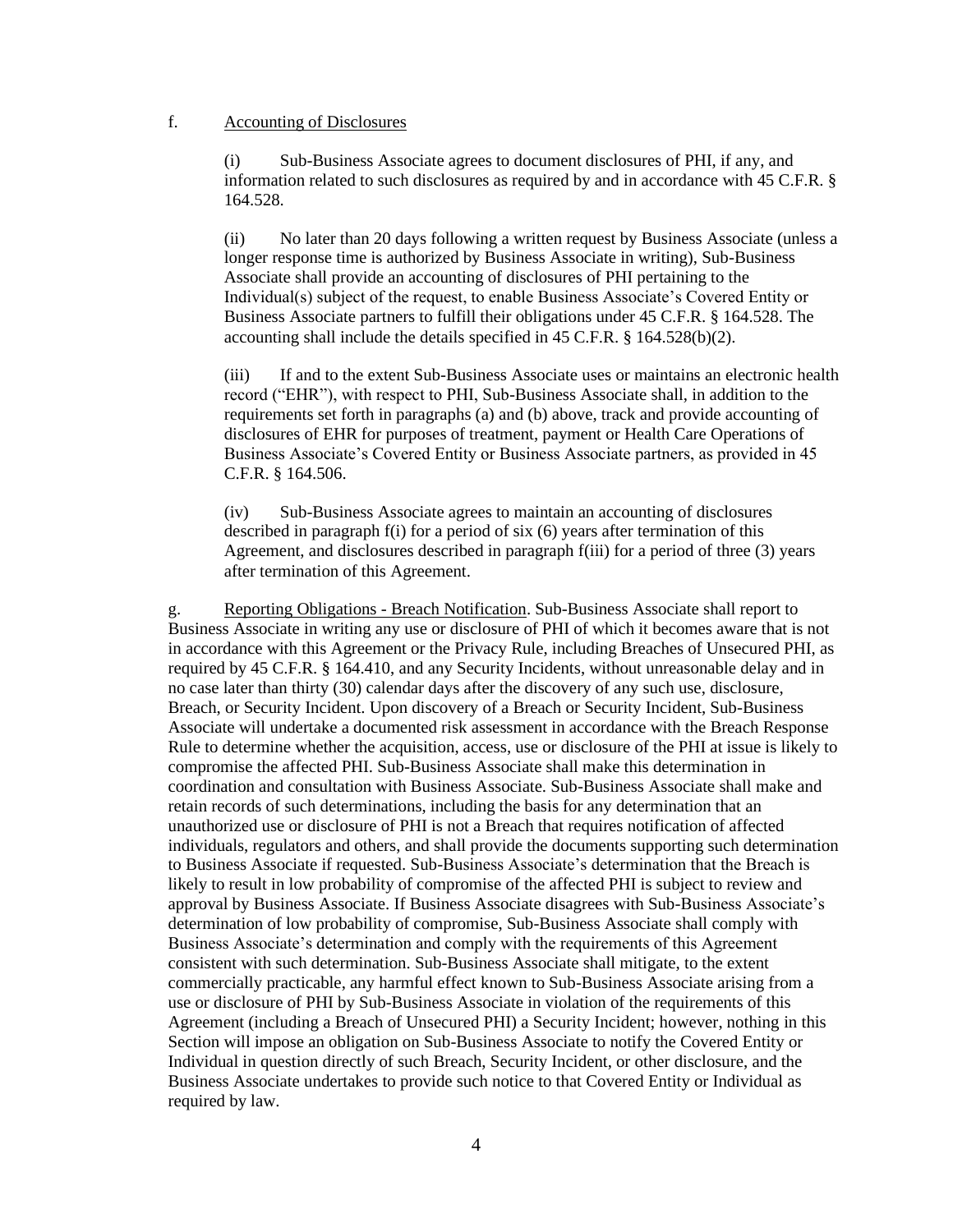# <span id="page-3-1"></span><span id="page-3-0"></span>f. Accounting of Disclosures

Sub-Business Associate agrees to document disclosures of PHI, if any, and information related to such disclosures as required by and in accordance with 45 C.F.R. § 164.528.

(ii) No later than 20 days following a written request by Business Associate (unless a longer response time is authorized by Business Associate in writing), Sub-Business Associate shall provide an accounting of disclosures of PHI pertaining to the Individual(s) subject of the request, to enable Business Associate's Covered Entity or Business Associate partners to fulfill their obligations under 45 C.F.R. § 164.528. The accounting shall include the details specified in 45 C.F.R. § 164.528(b)(2).

<span id="page-3-2"></span>(iii) If and to the extent Sub-Business Associate uses or maintains an electronic health record ("EHR"), with respect to PHI, Sub-Business Associate shall, in addition to the requirements set forth in paragraphs (a) and (b) above, track and provide accounting of disclosures of EHR for purposes of treatment, payment or Health Care Operations of Business Associate's Covered Entity or Business Associate partners, as provided in 45 C.F.R. § 164.506.

(iv) Sub-Business Associate agrees to maintain an accounting of disclosures described in paragraph [f](#page-3-0)[\(i\)](#page-3-1) for a period of six (6) years after termination of this Agreement, and disclosures described in paragraph [f](#page-3-0)[\(iii\)](#page-3-2) for a period of three (3) years after termination of this Agreement.

g. Reporting Obligations - Breach Notification. Sub-Business Associate shall report to Business Associate in writing any use or disclosure of PHI of which it becomes aware that is not in accordance with this Agreement or the Privacy Rule, including Breaches of Unsecured PHI, as required by 45 C.F.R. § 164.410, and any Security Incidents, without unreasonable delay and in no case later than thirty (30) calendar days after the discovery of any such use, disclosure, Breach, or Security Incident. Upon discovery of a Breach or Security Incident, Sub-Business Associate will undertake a documented risk assessment in accordance with the Breach Response Rule to determine whether the acquisition, access, use or disclosure of the PHI at issue is likely to compromise the affected PHI. Sub-Business Associate shall make this determination in coordination and consultation with Business Associate. Sub-Business Associate shall make and retain records of such determinations, including the basis for any determination that an unauthorized use or disclosure of PHI is not a Breach that requires notification of affected individuals, regulators and others, and shall provide the documents supporting such determination to Business Associate if requested. Sub-Business Associate's determination that the Breach is likely to result in low probability of compromise of the affected PHI is subject to review and approval by Business Associate. If Business Associate disagrees with Sub-Business Associate's determination of low probability of compromise, Sub-Business Associate shall comply with Business Associate's determination and comply with the requirements of this Agreement consistent with such determination. Sub-Business Associate shall mitigate, to the extent commercially practicable, any harmful effect known to Sub-Business Associate arising from a use or disclosure of PHI by Sub-Business Associate in violation of the requirements of this Agreement (including a Breach of Unsecured PHI) a Security Incident; however, nothing in this Section will impose an obligation on Sub-Business Associate to notify the Covered Entity or Individual in question directly of such Breach, Security Incident, or other disclosure, and the Business Associate undertakes to provide such notice to that Covered Entity or Individual as required by law.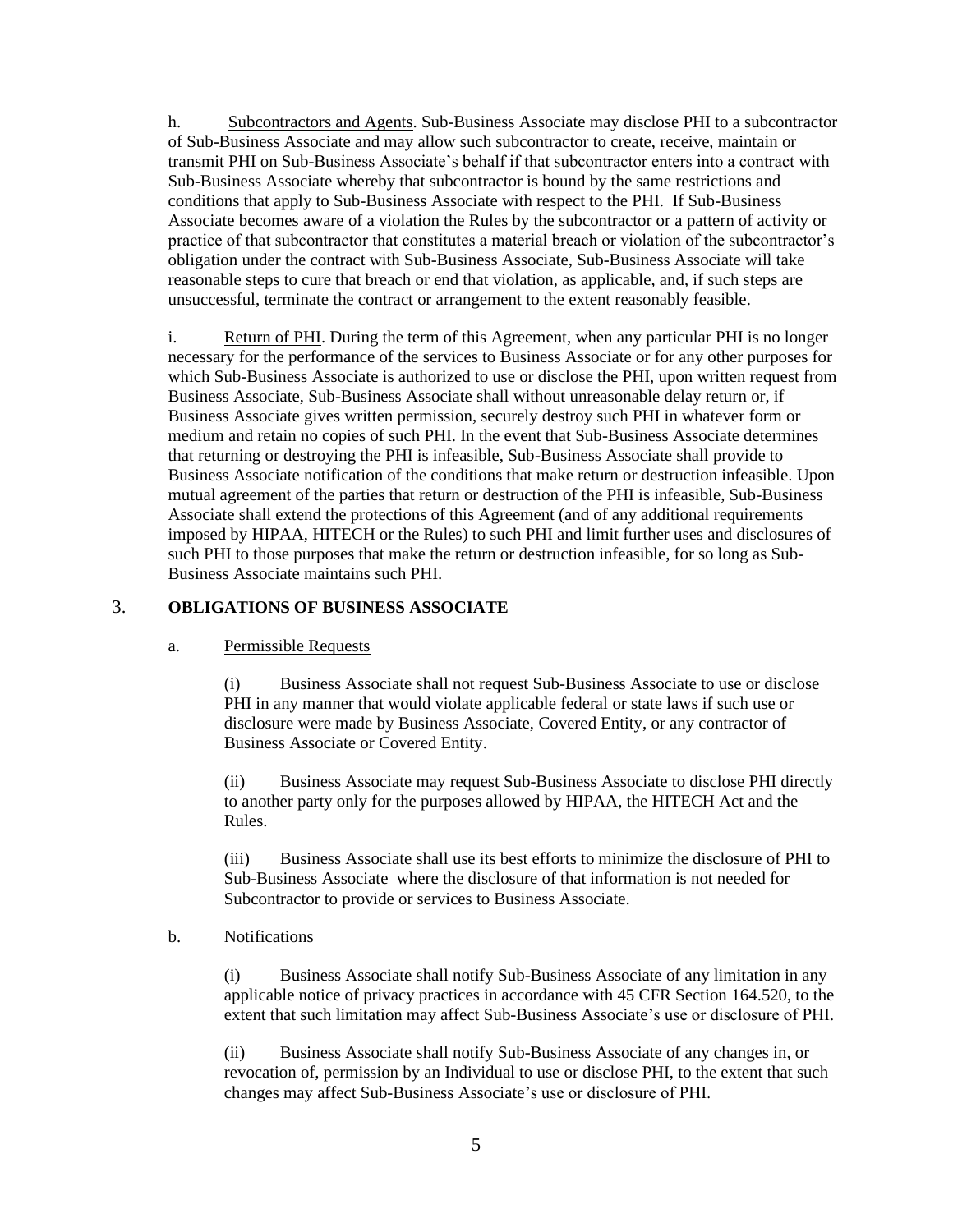h. Subcontractors and Agents. Sub-Business Associate may disclose PHI to a subcontractor of Sub-Business Associate and may allow such subcontractor to create, receive, maintain or transmit PHI on Sub-Business Associate's behalf if that subcontractor enters into a contract with Sub-Business Associate whereby that subcontractor is bound by the same restrictions and conditions that apply to Sub-Business Associate with respect to the PHI. If Sub-Business Associate becomes aware of a violation the Rules by the subcontractor or a pattern of activity or practice of that subcontractor that constitutes a material breach or violation of the subcontractor's obligation under the contract with Sub-Business Associate, Sub-Business Associate will take reasonable steps to cure that breach or end that violation, as applicable, and, if such steps are unsuccessful, terminate the contract or arrangement to the extent reasonably feasible.

i. Return of PHI. During the term of this Agreement, when any particular PHI is no longer necessary for the performance of the services to Business Associate or for any other purposes for which Sub-Business Associate is authorized to use or disclose the PHI, upon written request from Business Associate, Sub-Business Associate shall without unreasonable delay return or, if Business Associate gives written permission, securely destroy such PHI in whatever form or medium and retain no copies of such PHI. In the event that Sub-Business Associate determines that returning or destroying the PHI is infeasible, Sub-Business Associate shall provide to Business Associate notification of the conditions that make return or destruction infeasible. Upon mutual agreement of the parties that return or destruction of the PHI is infeasible, Sub-Business Associate shall extend the protections of this Agreement (and of any additional requirements imposed by HIPAA, HITECH or the Rules) to such PHI and limit further uses and disclosures of such PHI to those purposes that make the return or destruction infeasible, for so long as Sub-Business Associate maintains such PHI.

# 3. **OBLIGATIONS OF BUSINESS ASSOCIATE**

### a. Permissible Requests

(i) Business Associate shall not request Sub-Business Associate to use or disclose PHI in any manner that would violate applicable federal or state laws if such use or disclosure were made by Business Associate, Covered Entity, or any contractor of Business Associate or Covered Entity.

(ii) Business Associate may request Sub-Business Associate to disclose PHI directly to another party only for the purposes allowed by HIPAA, the HITECH Act and the Rules.

(iii) Business Associate shall use its best efforts to minimize the disclosure of PHI to Sub-Business Associate where the disclosure of that information is not needed for Subcontractor to provide or services to Business Associate.

### b. Notifications

(i) Business Associate shall notify Sub-Business Associate of any limitation in any applicable notice of privacy practices in accordance with 45 CFR Section 164.520, to the extent that such limitation may affect Sub-Business Associate's use or disclosure of PHI.

(ii) Business Associate shall notify Sub-Business Associate of any changes in, or revocation of, permission by an Individual to use or disclose PHI, to the extent that such changes may affect Sub-Business Associate's use or disclosure of PHI.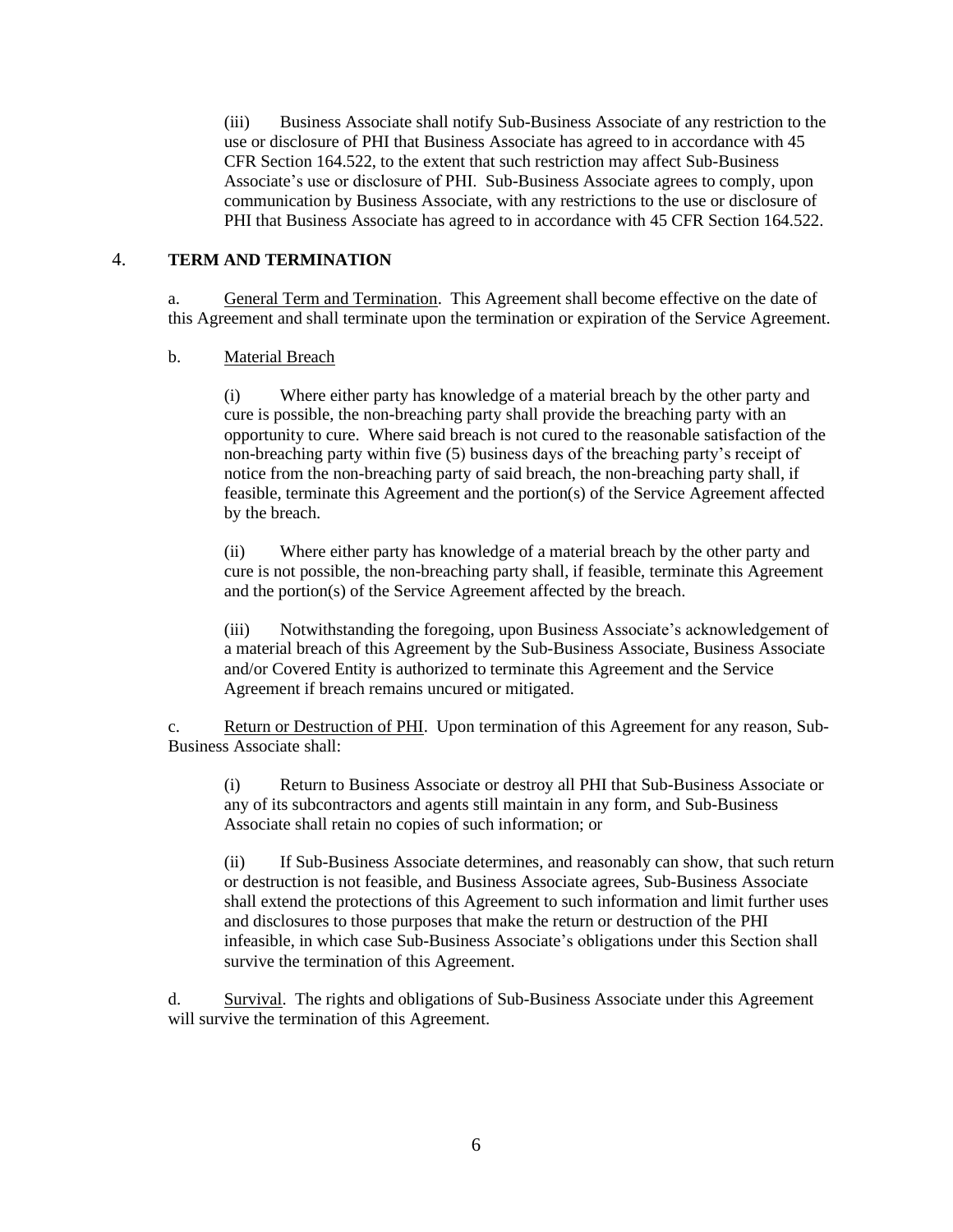(iii) Business Associate shall notify Sub-Business Associate of any restriction to the use or disclosure of PHI that Business Associate has agreed to in accordance with 45 CFR Section 164.522, to the extent that such restriction may affect Sub-Business Associate's use or disclosure of PHI. Sub-Business Associate agrees to comply, upon communication by Business Associate, with any restrictions to the use or disclosure of PHI that Business Associate has agreed to in accordance with 45 CFR Section 164.522.

# 4. **TERM AND TERMINATION**

a. General Term and Termination. This Agreement shall become effective on the date of this Agreement and shall terminate upon the termination or expiration of the Service Agreement.

#### b. Material Breach

(i) Where either party has knowledge of a material breach by the other party and cure is possible, the non-breaching party shall provide the breaching party with an opportunity to cure. Where said breach is not cured to the reasonable satisfaction of the non-breaching party within five (5) business days of the breaching party's receipt of notice from the non-breaching party of said breach, the non-breaching party shall, if feasible, terminate this Agreement and the portion(s) of the Service Agreement affected by the breach.

(ii) Where either party has knowledge of a material breach by the other party and cure is not possible, the non-breaching party shall, if feasible, terminate this Agreement and the portion(s) of the Service Agreement affected by the breach.

(iii) Notwithstanding the foregoing, upon Business Associate's acknowledgement of a material breach of this Agreement by the Sub-Business Associate, Business Associate and/or Covered Entity is authorized to terminate this Agreement and the Service Agreement if breach remains uncured or mitigated.

c. Return or Destruction of PHI. Upon termination of this Agreement for any reason, Sub-Business Associate shall:

(i) Return to Business Associate or destroy all PHI that Sub-Business Associate or any of its subcontractors and agents still maintain in any form, and Sub-Business Associate shall retain no copies of such information; or

(ii) If Sub-Business Associate determines, and reasonably can show, that such return or destruction is not feasible, and Business Associate agrees, Sub-Business Associate shall extend the protections of this Agreement to such information and limit further uses and disclosures to those purposes that make the return or destruction of the PHI infeasible, in which case Sub-Business Associate's obligations under this Section shall survive the termination of this Agreement.

d. Survival. The rights and obligations of Sub-Business Associate under this Agreement will survive the termination of this Agreement.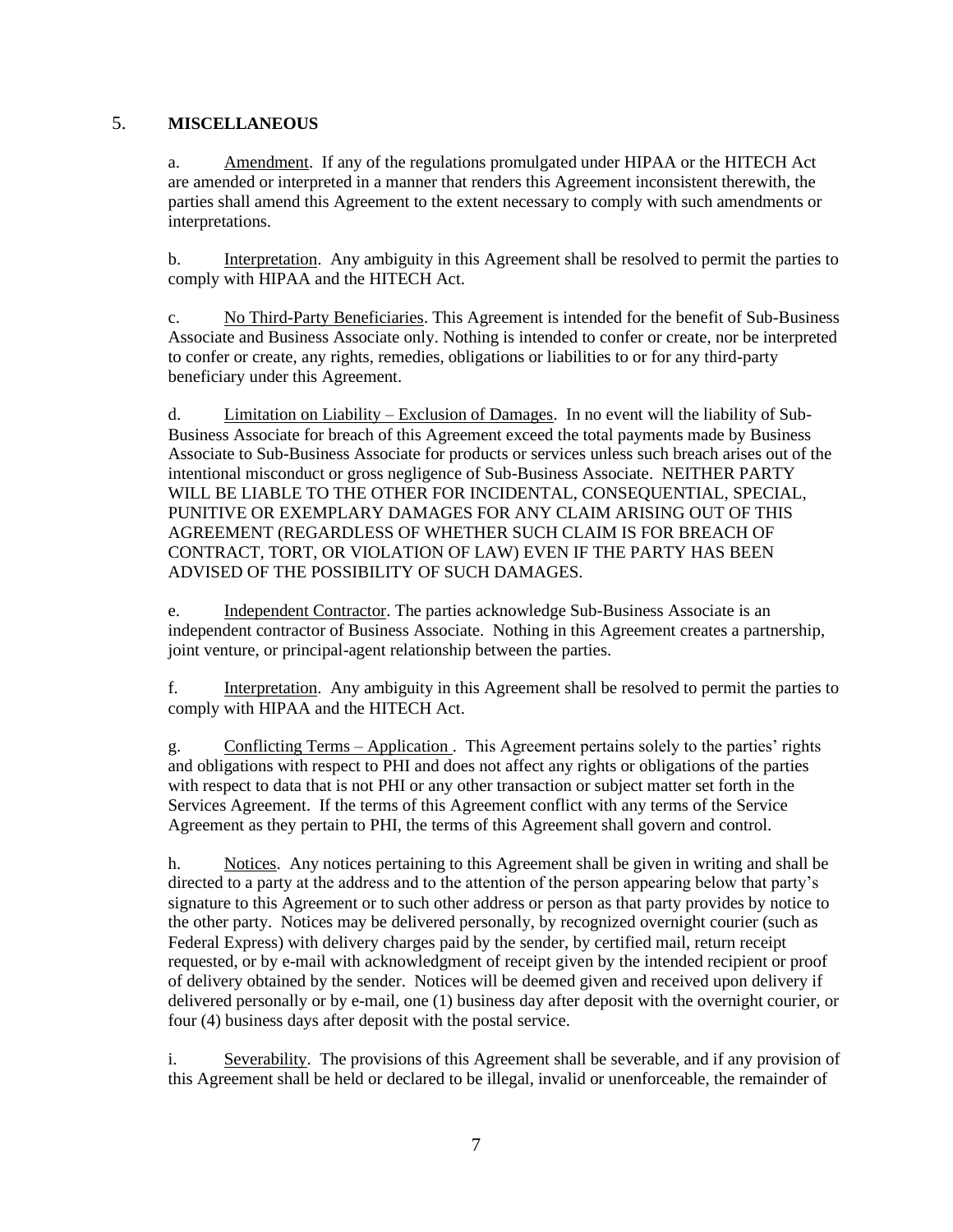# 5. **MISCELLANEOUS**

a. Amendment. If any of the regulations promulgated under HIPAA or the HITECH Act are amended or interpreted in a manner that renders this Agreement inconsistent therewith, the parties shall amend this Agreement to the extent necessary to comply with such amendments or interpretations.

b. Interpretation. Any ambiguity in this Agreement shall be resolved to permit the parties to comply with HIPAA and the HITECH Act.

c. No Third-Party Beneficiaries. This Agreement is intended for the benefit of Sub-Business Associate and Business Associate only. Nothing is intended to confer or create, nor be interpreted to confer or create, any rights, remedies, obligations or liabilities to or for any third-party beneficiary under this Agreement.

d. Limitation on Liability – Exclusion of Damages. In no event will the liability of Sub-Business Associate for breach of this Agreement exceed the total payments made by Business Associate to Sub-Business Associate for products or services unless such breach arises out of the intentional misconduct or gross negligence of Sub-Business Associate. NEITHER PARTY WILL BE LIABLE TO THE OTHER FOR INCIDENTAL, CONSEQUENTIAL, SPECIAL, PUNITIVE OR EXEMPLARY DAMAGES FOR ANY CLAIM ARISING OUT OF THIS AGREEMENT (REGARDLESS OF WHETHER SUCH CLAIM IS FOR BREACH OF CONTRACT, TORT, OR VIOLATION OF LAW) EVEN IF THE PARTY HAS BEEN ADVISED OF THE POSSIBILITY OF SUCH DAMAGES.

e. Independent Contractor. The parties acknowledge Sub-Business Associate is an independent contractor of Business Associate. Nothing in this Agreement creates a partnership, joint venture, or principal-agent relationship between the parties.

f. Interpretation. Any ambiguity in this Agreement shall be resolved to permit the parties to comply with HIPAA and the HITECH Act.

g. Conflicting Terms – Application . This Agreement pertains solely to the parties' rights and obligations with respect to PHI and does not affect any rights or obligations of the parties with respect to data that is not PHI or any other transaction or subject matter set forth in the Services Agreement. If the terms of this Agreement conflict with any terms of the Service Agreement as they pertain to PHI, the terms of this Agreement shall govern and control.

h. Notices. Any notices pertaining to this Agreement shall be given in writing and shall be directed to a party at the address and to the attention of the person appearing below that party's signature to this Agreement or to such other address or person as that party provides by notice to the other party. Notices may be delivered personally, by recognized overnight courier (such as Federal Express) with delivery charges paid by the sender, by certified mail, return receipt requested, or by e-mail with acknowledgment of receipt given by the intended recipient or proof of delivery obtained by the sender. Notices will be deemed given and received upon delivery if delivered personally or by e-mail, one (1) business day after deposit with the overnight courier, or four (4) business days after deposit with the postal service.

i. Severability. The provisions of this Agreement shall be severable, and if any provision of this Agreement shall be held or declared to be illegal, invalid or unenforceable, the remainder of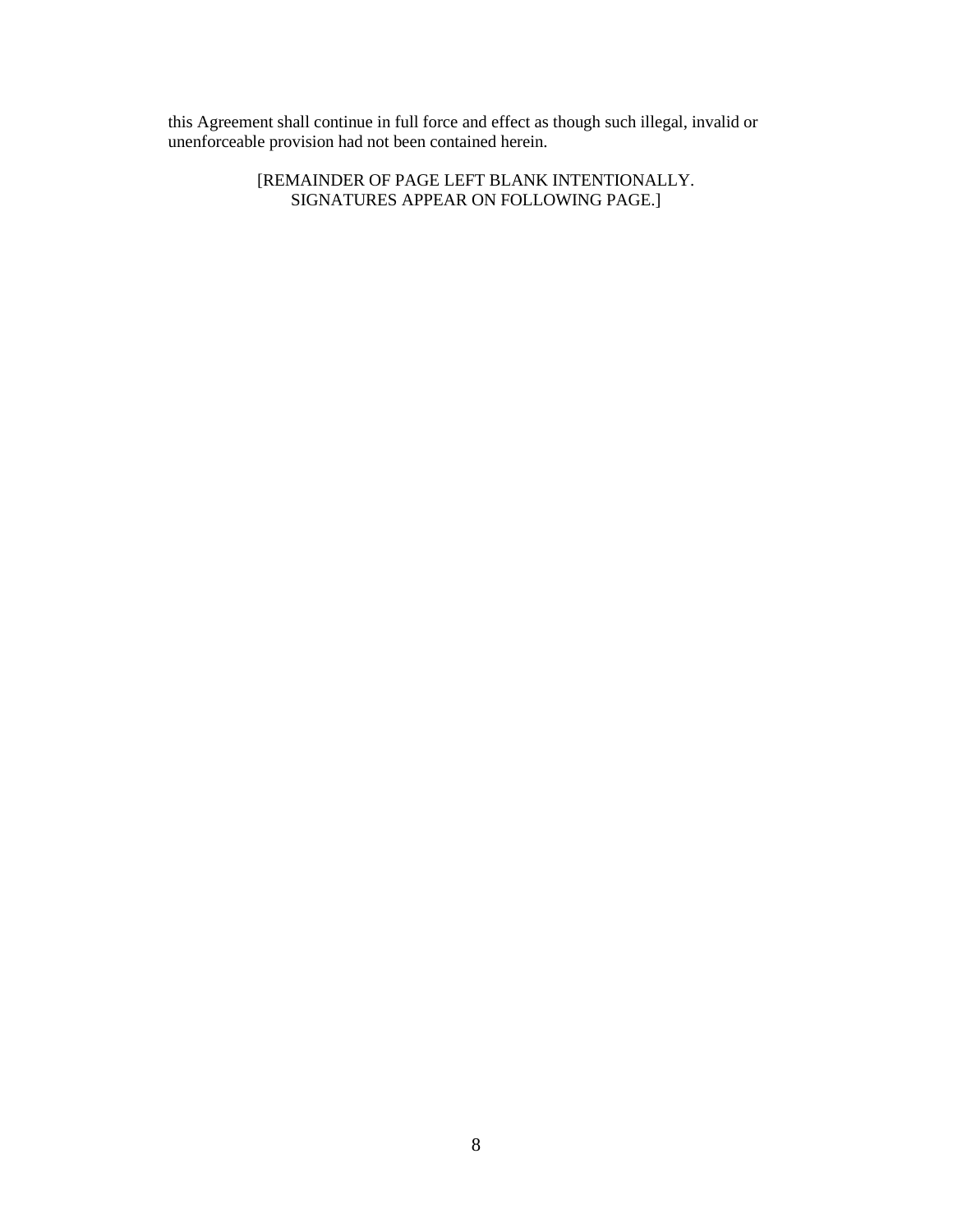this Agreement shall continue in full force and effect as though such illegal, invalid or unenforceable provision had not been contained herein.

> [REMAINDER OF PAGE LEFT BLANK INTENTIONALLY. SIGNATURES APPEAR ON FOLLOWING PAGE.]